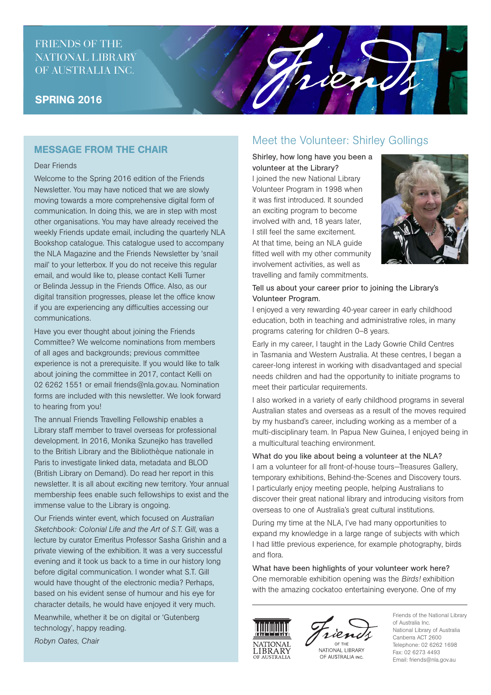# FRIENDS OF THE NATIONAL LIBRARY OF AUSTRALIA INC.

## SPRING 2016

## MESSAGE FROM THE CHAIR

### Dear Friends

Welcome to the Spring 2016 edition of the Friends Newsletter. You may have noticed that we are slowly moving towards a more comprehensive digital form of communication. In doing this, we are in step with most other organisations. You may have already received the weekly Friends update email, including the quarterly NLA Bookshop catalogue. This catalogue used to accompany the NLA Magazine and the Friends Newsletter by 'snail mail' to your letterbox. If you do not receive this regular email, and would like to, please contact Kelli Turner or Belinda Jessup in the Friends Office. Also, as our digital transition progresses, please let the office know if you are experiencing any difficulties accessing our communications.

Have you ever thought about joining the Friends Committee? We welcome nominations from members of all ages and backgrounds; previous committee experience is not a prerequisite. If you would like to talk about joining the committee in 2017, contact Kelli on 02 6262 1551 or email friends@nla.gov.au. Nomination forms are included with this newsletter. We look forward to hearing from you!

The annual Friends Travelling Fellowship enables a Library staff member to travel overseas for professional development. In 2016, Monika Szunejko has travelled to the British Library and the Bibliothèque nationale in Paris to investigate linked data, metadata and BLOD (British Library on Demand). Do read her report in this newsletter. It is all about exciting new territory. Your annual membership fees enable such fellowships to exist and the immense value to the Library is ongoing.

Our Friends winter event, which focused on *Australian Sketchbook: Colonial Life and the Art of S.T. Gill*, was a lecture by curator Emeritus Professor Sasha Grishin and a private viewing of the exhibition. It was a very successful evening and it took us back to a time in our history long before digital communication. I wonder what S.T. Gill would have thought of the electronic media? Perhaps, based on his evident sense of humour and his eye for character details, he would have enjoyed it very much.

Meanwhile, whether it be on digital or 'Gutenberg technology', happy reading.

*Robyn Oates, Chair*

# Meet the Volunteer: Shirley Gollings

hien

Shirley, how long have you been a volunteer at the Library? I joined the new National Library Volunteer Program in 1998 when it was first introduced. It sounded an exciting program to become involved with and, 18 years later, I still feel the same excitement. At that time, being an NLA guide fitted well with my other community involvement activities, as well as travelling and family commitments.



## Tell us about your career prior to joining the Library's Volunteer Program.

I enjoyed a very rewarding 40-year career in early childhood education, both in teaching and administrative roles, in many programs catering for children 0–8 years.

Early in my career, I taught in the Lady Gowrie Child Centres in Tasmania and Western Australia. At these centres, I began a career-long interest in working with disadvantaged and special needs children and had the opportunity to initiate programs to meet their particular requirements.

I also worked in a variety of early childhood programs in several Australian states and overseas as a result of the moves required by my husband's career, including working as a member of a multi-disciplinary team. In Papua New Guinea, I enjoyed being in a multicultural teaching environment.

### What do you like about being a volunteer at the NLA?

I am a volunteer for all front-of-house tours—Treasures Gallery, temporary exhibitions, Behind-the-Scenes and Discovery tours. I particularly enjoy meeting people, helping Australians to discover their great national library and introducing visitors from overseas to one of Australia's great cultural institutions.

During my time at the NLA, I've had many opportunities to expand my knowledge in a large range of subjects with which I had little previous experience, for example photography, birds and flora.

What have been highlights of your volunteer work here? One memorable exhibition opening was the *Birds!* exhibition with the amazing cockatoo entertaining everyone. One of my





NATIONAL LIBRARY OF AUSTRALIA INC.

Friends of the National Library of Australia Inc. National Library of Australia Canberra ACT 2600 Telephone: 02 6262 1698 Fax: 02 6273 4493 Email: friends@nla.gov.au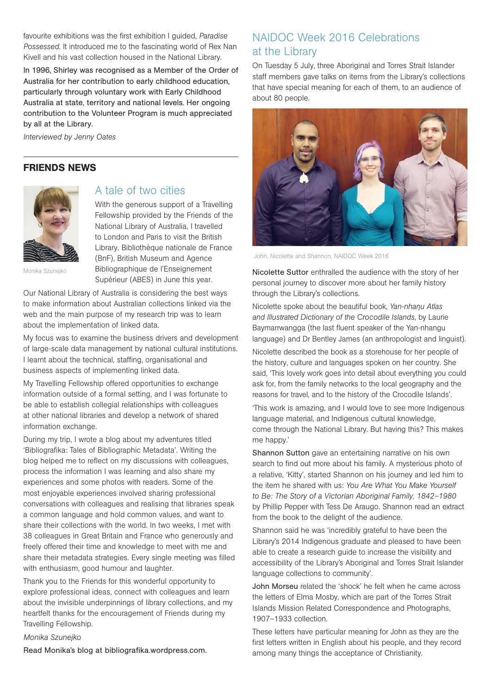favourite exhibitions was the first exhibition I guided, *Paradise Possessed*. It introduced me to the fascinating world of Rex Nan Kivell and his vast collection housed in the National Library.

In 1996, Shirley was recognised as a Member of the Order of Australia for her contribution to early childhood education, particularly through voluntary work with Early Childhood Australia at state, territory and national levels. Her ongoing contribution to the Volunteer Program is much appreciated by all at the Library.

*Interviewed by Jenny Oates*

## FRIENDS NEWS



Monika Szunejko

## A tale of two cities

With the generous support of a Travelling Fellowship provided by the Friends of the National Library of Australia, I travelled to London and Paris to visit the British Library, Bibliothèque nationale de France (BnF), British Museum and Agence Bibliographique de l'Enseignement Supérieur (ABES) in June this year.

Our National Library of Australia is considering the best ways to make information about Australian collections linked via the web and the main purpose of my research trip was to learn

about the implementation of linked data.

My focus was to examine the business drivers and development of large-scale data management by national cultural institutions. I learnt about the technical, staffing, organisational and business aspects of implementing linked data.

My Travelling Fellowship offered opportunities to exchange information outside of a formal setting, and I was fortunate to be able to establish collegial relationships with colleagues at other national libraries and develop a network of shared information exchange.

During my trip, I wrote a blog about my adventures titled 'Bibliografika: Tales of Bibliographic Metadata'. Writing the blog helped me to reflect on my discussions with colleagues, process the information I was learning and also share my experiences and some photos with readers. Some of the most enjoyable experiences involved sharing professional conversations with colleagues and realising that libraries speak a common language and hold common values, and want to share their collections with the world. In two weeks, I met with 38 colleagues in Great Britain and France who generously and freely offered their time and knowledge to meet with me and share their metadata strategies. Every single meeting was filled with enthusiasm, good humour and laughter.

Thank you to the Friends for this wonderful opportunity to explore professional ideas, connect with colleagues and learn about the invisible underpinnings of library collections, and my heartfelt thanks for the encouragement of Friends during my Travelling Fellowship.

### *Monika Szunejko*

Read Monika's blog at bibliografika.wordpress.com.

# NAIDOC Week 2016 Celebrations at the Library

On Tuesday 5 July, three Aboriginal and Torres Strait Islander staff members gave talks on items from the Library's collections that have special meaning for each of them, to an audience of about 80 people.



John, Nicolette and Shannon, NAIDOC Week 2016

Nicolette Suttor enthralled the audience with the story of her personal journey to discover more about her family history through the Library's collections.

Nicolette spoke about the beautiful book, *Yan-nhaŋu Atlas and Illustrated Dictionary of the Crocodile Islands*, by Laurie Baymarrwangga (the last fluent speaker of the Yan-nhangu language) and Dr Bentley James (an anthropologist and linguist).

Nicolette described the book as a storehouse for her people of the history, culture and languages spoken on her country. She said, 'This lovely work goes into detail about everything you could ask for, from the family networks to the local geography and the reasons for travel, and to the history of the Crocodile Islands'.

'This work is amazing, and I would love to see more Indigenous language material, and Indigenous cultural knowledge, come through the National Library. But having this? This makes me happy.'

Shannon Sutton gave an entertaining narrative on his own search to find out more about his family. A mysterious photo of a relative, 'Kitty', started Shannon on his journey and led him to the item he shared with us: *You Are What You Make Yourself to Be: The Story of a Victorian Aboriginal Family, 1842–1980* by Phillip Pepper with Tess De Araugo. Shannon read an extract from the book to the delight of the audience.

Shannon said he was 'incredibly grateful to have been the Library's 2014 Indigenous graduate and pleased to have been able to create a research guide to increase the visibility and accessibility of the Library's Aboriginal and Torres Strait Islander language collections to community'.

John Morseu related the 'shock' he felt when he came across the letters of Elma Mosby, which are part of the Torres Strait Islands Mission Related Correspondence and Photographs, 1907–1933 collection.

These letters have particular meaning for John as they are the first letters written in English about his people, and they record among many things the acceptance of Christianity.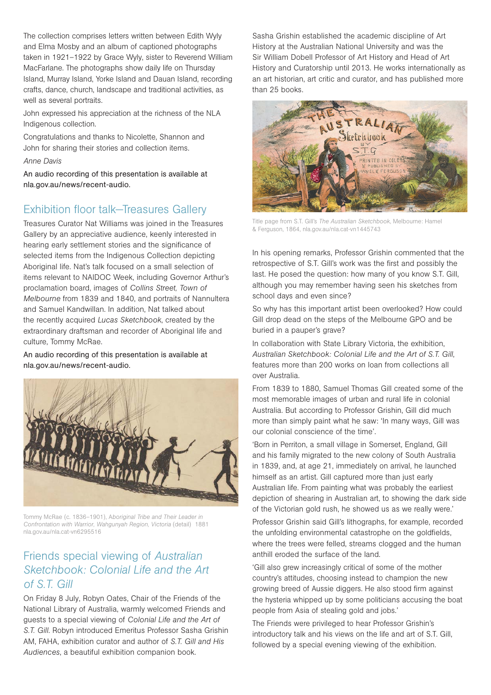The collection comprises letters written between Edith Wyly and Elma Mosby and an album of captioned photographs taken in 1921–1922 by Grace Wyly, sister to Reverend William MacFarlane. The photographs show daily life on Thursday Island, Murray Island, Yorke Island and Dauan Island, recording crafts, dance, church, landscape and traditional activities, as well as several portraits.

John expressed his appreciation at the richness of the NLA Indigenous collection.

Congratulations and thanks to Nicolette, Shannon and John for sharing their stories and collection items.

## *Anne Davis*

An audio recording of this presentation is available at nla.gov.au/news/recent-audio.

# Exhibition floor talk—Treasures Gallery

Treasures Curator Nat Williams was joined in the Treasures Gallery by an appreciative audience, keenly interested in hearing early settlement stories and the significance of selected items from the Indigenous Collection depicting Aboriginal life. Nat's talk focused on a small selection of items relevant to NAIDOC Week, including Governor Arthur's proclamation board, images of *Collins Street, Town of Melbourne* from 1839 and 1840, and portraits of Nannultera and Samuel Kandwillan. In addition, Nat talked about the recently acquired *Lucas Sketchbook*, created by the extraordinary draftsman and recorder of Aboriginal life and culture, Tommy McRae.

An audio recording of this presentation is available at nla.gov.au/news/recent-audio.



Tommy McRae (c. 1836–1901), A*boriginal Tribe and Their Leader in Confrontation with Warrior, Wahgunyah Region, Victoria* (detail) 1881 nla.gov.au/nla.cat-vn6295516

# Friends special viewing of *Australian Sketchbook: Colonial Life and the Art of S.T. Gill*

On Friday 8 July, Robyn Oates, Chair of the Friends of the National Library of Australia, warmly welcomed Friends and guests to a special viewing of *Colonial Life and the Art of S.T. Gill*. Robyn introduced Emeritus Professor Sasha Grishin AM, FAHA, exhibition curator and author of *S.T. Gill and His Audiences*, a beautiful exhibition companion book.

Sasha Grishin established the academic discipline of Art History at the Australian National University and was the Sir William Dobell Professor of Art History and Head of Art History and Curatorship until 2013. He works internationally as an art historian, art critic and curator, and has published more than 25 books.



Title page from S.T. Gill's *The Australian Sketchbook*, Melbourne: Hamel & Ferguson, 1864, nla.gov.au/nla.cat-vn1445743

In his opening remarks, Professor Grishin commented that the retrospective of S.T. Gill's work was the first and possibly the last. He posed the question: how many of you know S.T. Gill, although you may remember having seen his sketches from school days and even since?

So why has this important artist been overlooked? How could Gill drop dead on the steps of the Melbourne GPO and be buried in a pauper's grave?

In collaboration with State Library Victoria, the exhibition, *Australian Sketchbook: Colonial Life and the Art of S.T. Gill*, features more than 200 works on loan from collections all over Australia.

From 1839 to 1880, Samuel Thomas Gill created some of the most memorable images of urban and rural life in colonial Australia. But according to Professor Grishin, Gill did much more than simply paint what he saw: 'In many ways, Gill was our colonial conscience of the time'.

'Born in Perriton, a small village in Somerset, England, Gill and his family migrated to the new colony of South Australia in 1839, and, at age 21, immediately on arrival, he launched himself as an artist. Gill captured more than just early Australian life. From painting what was probably the earliest depiction of shearing in Australian art, to showing the dark side of the Victorian gold rush, he showed us as we really were.'

Professor Grishin said Gill's lithographs, for example, recorded the unfolding environmental catastrophe on the goldfields, where the trees were felled, streams clogged and the human anthill eroded the surface of the land.

'Gill also grew increasingly critical of some of the mother country's attitudes, choosing instead to champion the new growing breed of Aussie diggers. He also stood firm against the hysteria whipped up by some politicians accusing the boat people from Asia of stealing gold and jobs.'

The Friends were privileged to hear Professor Grishin's introductory talk and his views on the life and art of S.T. Gill, followed by a special evening viewing of the exhibition.